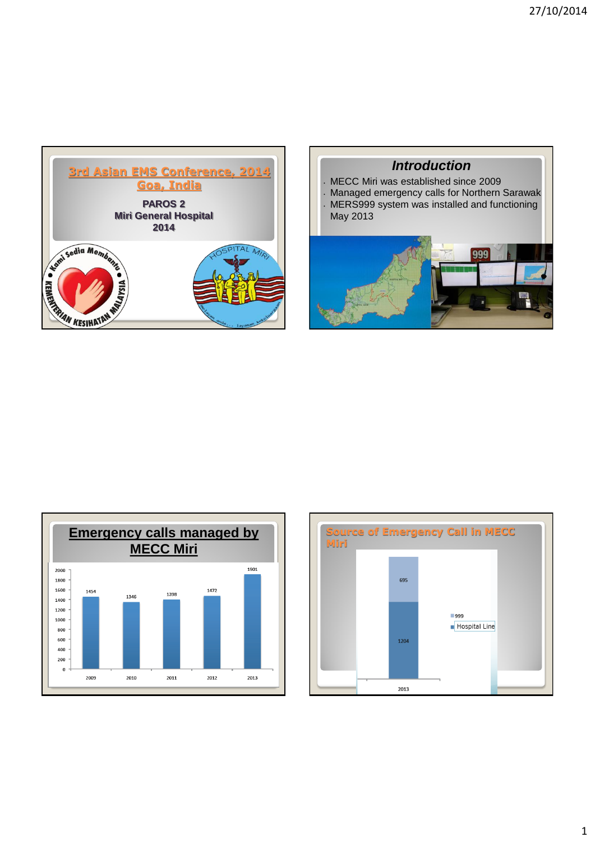





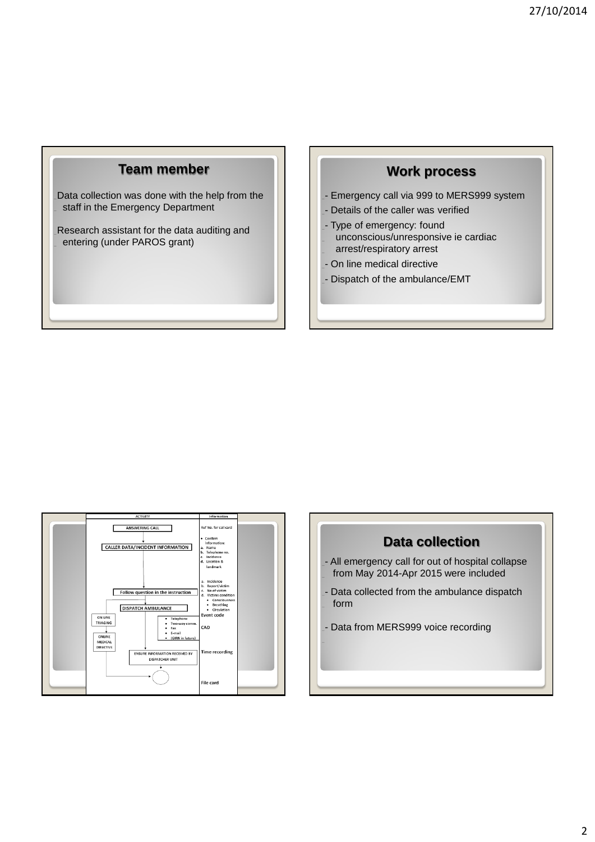## **Team member**

Data collection was done with the help from the staff in the Emergency Department

Research assistant for the data auditing and entering (under PAROS grant)

# **Work process**

- Emergency call via 999 to MERS999 system
- Details of the caller was verified
- Type of emergency: found
- unconscious/unresponsive ie cardiac arrest/respiratory arrest
- On line medical directive
- Dispatch of the ambulance/EMT



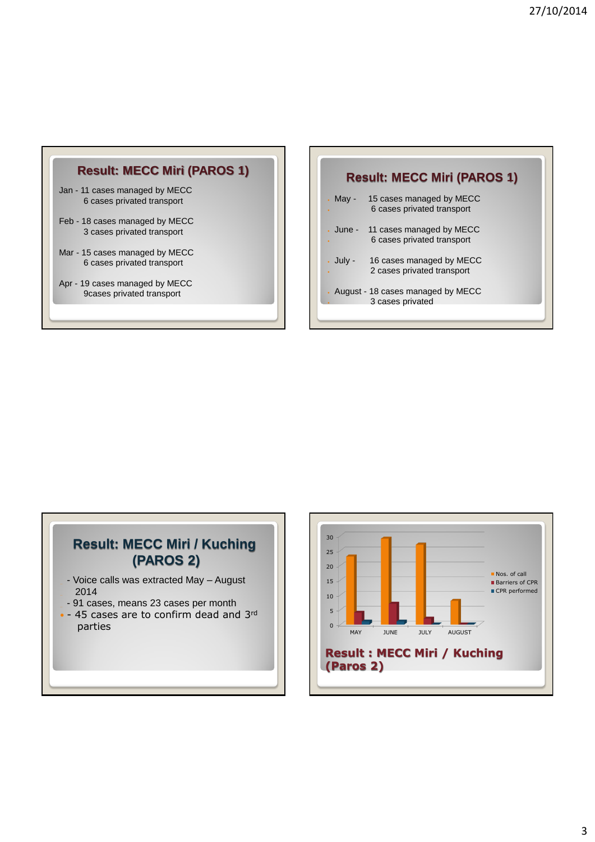